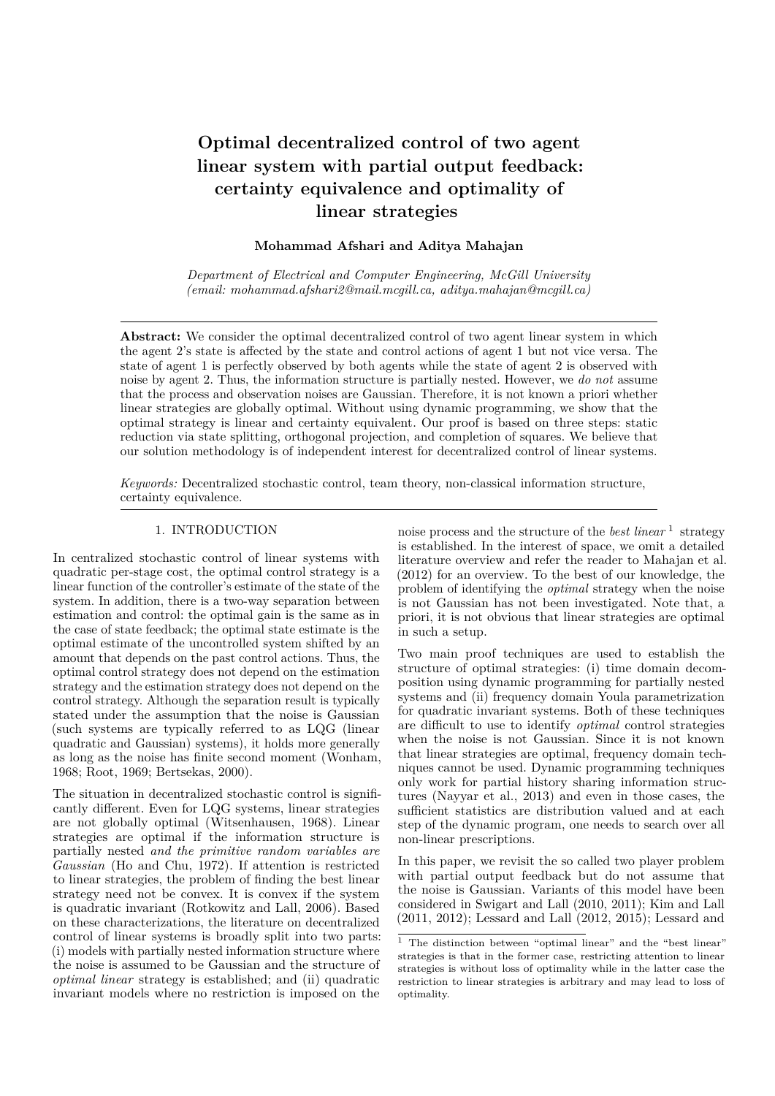# **Optimal decentralized control of two agent linear system with partial output feedback: certainty equivalence and optimality of linear strategies**

#### **Mohammad Afshari and Aditya Mahajan**

*Department of Electrical and Computer Engineering, McGill University (email: mohammad.afshari2@mail.mcgill.ca, aditya.mahajan@mcgill.ca)*

Abstract: We consider the optimal decentralized control of two agent linear system in which the agent 2's state is affected by the state and control actions of agent 1 but not vice versa. The state of agent 1 is perfectly observed by both agents while the state of agent 2 is observed with noise by agent 2. Thus, the information structure is partially nested. However, we *do not* assume that the process and observation noises are Gaussian. Therefore, it is not known a priori whether linear strategies are globally optimal. Without using dynamic programming, we show that the optimal strategy is linear and certainty equivalent. Our proof is based on three steps: static reduction via state splitting, orthogonal projection, and completion of squares. We believe that our solution methodology is of independent interest for decentralized control of linear systems.

*Keywords:* Decentralized stochastic control, team theory, non-classical information structure, certainty equivalence.

#### 1. INTRODUCTION

In centralized stochastic control of linear systems with quadratic per-stage cost, the optimal control strategy is a linear function of the controller's estimate of the state of the system. In addition, there is a two-way separation between estimation and control: the optimal gain is the same as in the case of state feedback; the optimal state estimate is the optimal estimate of the uncontrolled system shifted by an amount that depends on the past control actions. Thus, the optimal control strategy does not depend on the estimation strategy and the estimation strategy does not depend on the control strategy. Although the separation result is typically stated under the assumption that the noise is Gaussian (such systems are typically referred to as LQG (linear quadratic and Gaussian) systems), it holds more generally as long as the noise has finite second moment (Wonham, 1968; Root, 1969; Bertsekas, 2000).

The situation in decentralized stochastic control is significantly different. Even for LQG systems, linear strategies are not globally optimal (Witsenhausen, 1968). Linear strategies are optimal if the information structure is partially nested *and the primitive random variables are Gaussian* (Ho and Chu, 1972). If attention is restricted to linear strategies, the problem of finding the best linear strategy need not be convex. It is convex if the system is quadratic invariant (Rotkowitz and Lall, 2006). Based on these characterizations, the literature on decentralized control of linear systems is broadly split into two parts: (i) models with partially nested information structure where the noise is assumed to be Gaussian and the structure of *optimal linear* strategy is established; and (ii) quadratic invariant models where no restriction is imposed on the

noise process and the structure of the *best linear*<sup>1</sup> strategy is established. In the interest of space, we omit a detailed literature overview and refer the reader to Mahajan et al. (2012) for an overview. To the best of our knowledge, the problem of identifying the *optimal* strategy when the noise is not Gaussian has not been investigated. Note that, a priori, it is not obvious that linear strategies are optimal in such a setup.

Two main proof techniques are used to establish the structure of optimal strategies: (i) time domain decomposition using dynamic programming for partially nested systems and (ii) frequency domain Youla parametrization for quadratic invariant systems. Both of these techniques are difficult to use to identify *optimal* control strategies when the noise is not Gaussian. Since it is not known that linear strategies are optimal, frequency domain techniques cannot be used. Dynamic programming techniques only work for partial history sharing information structures (Nayyar et al., 2013) and even in those cases, the sufficient statistics are distribution valued and at each step of the dynamic program, one needs to search over all non-linear prescriptions.

In this paper, we revisit the so called two player problem with partial output feedback but do not assume that the noise is Gaussian. Variants of this model have been considered in Swigart and Lall (2010, 2011); Kim and Lall (2011, 2012); Lessard and Lall (2012, 2015); Lessard and

 $1$  The distinction between "optimal linear" and the "best linear" strategies is that in the former case, restricting attention to linear strategies is without loss of optimality while in the latter case the restriction to linear strategies is arbitrary and may lead to loss of optimality.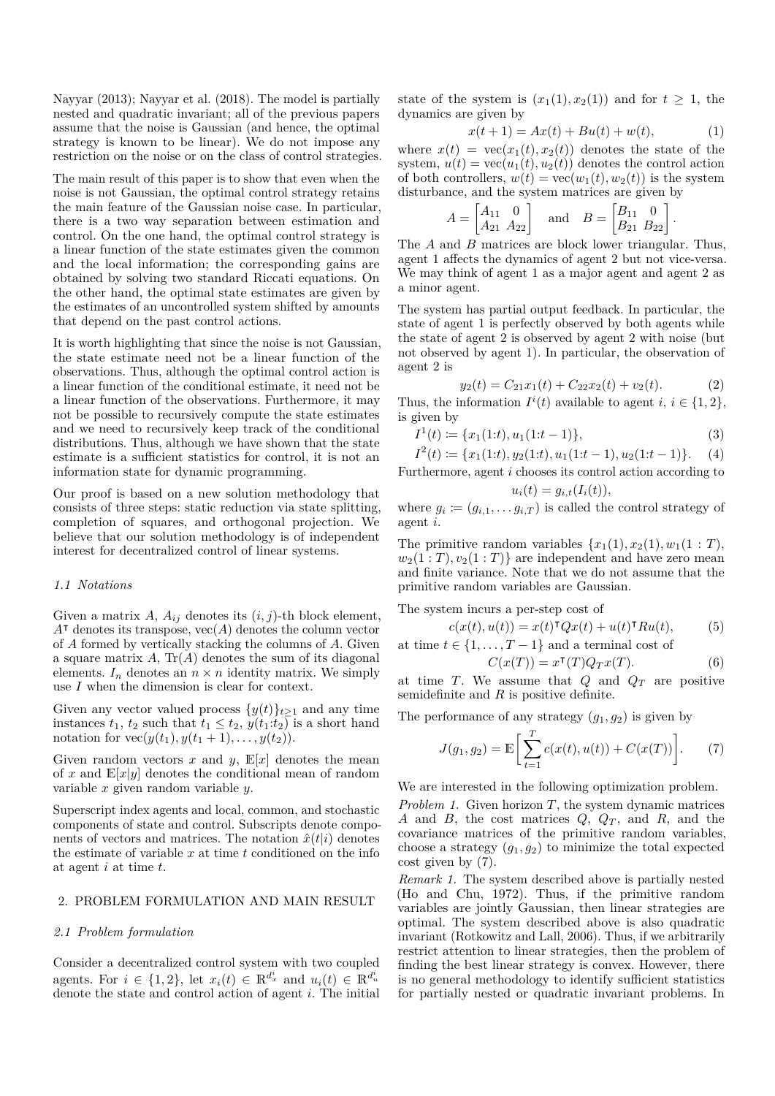Nayyar (2013); Nayyar et al. (2018). The model is partially nested and quadratic invariant; all of the previous papers assume that the noise is Gaussian (and hence, the optimal strategy is known to be linear). We do not impose any restriction on the noise or on the class of control strategies.

The main result of this paper is to show that even when the noise is not Gaussian, the optimal control strategy retains the main feature of the Gaussian noise case. In particular, there is a two way separation between estimation and control. On the one hand, the optimal control strategy is a linear function of the state estimates given the common and the local information; the corresponding gains are obtained by solving two standard Riccati equations. On the other hand, the optimal state estimates are given by the estimates of an uncontrolled system shifted by amounts that depend on the past control actions.

It is worth highlighting that since the noise is not Gaussian, the state estimate need not be a linear function of the observations. Thus, although the optimal control action is a linear function of the conditional estimate, it need not be a linear function of the observations. Furthermore, it may not be possible to recursively compute the state estimates and we need to recursively keep track of the conditional distributions. Thus, although we have shown that the state estimate is a sufficient statistics for control, it is not an information state for dynamic programming.

Our proof is based on a new solution methodology that consists of three steps: static reduction via state splitting, completion of squares, and orthogonal projection. We believe that our solution methodology is of independent interest for decentralized control of linear systems.

#### *1.1 Notations*

Given a matrix  $A$ ,  $A_{ij}$  denotes its  $(i, j)$ -th block element, *A*<sup>⊺</sup> denotes its transpose, vec(*A*) denotes the column vector of *A* formed by vertically stacking the columns of *A*. Given a square matrix *A*, Tr(*A*) denotes the sum of its diagonal elements.  $I_n$  denotes an  $n \times n$  identity matrix. We simply use *I* when the dimension is clear for context.

Given any vector valued process  $\{y(t)\}_{t\geq 1}$  and any time instances  $t_1$ ,  $t_2$  such that  $t_1 \leq t_2$ ,  $y(t_1:t_2)$  is a short hand notation for  $\text{vec}(y(t_1), y(t_1 + 1), \ldots, y(t_2)).$ 

Given random vectors  $x$  and  $y$ ,  $\mathbb{E}[x]$  denotes the mean of x and  $\mathbb{E}[x|y]$  denotes the conditional mean of random variable *x* given random variable *y*.

Superscript index agents and local, common, and stochastic components of state and control. Subscripts denote components of vectors and matrices. The notation  $\hat{x}(t|i)$  denotes the estimate of variable *x* at time *t* conditioned on the info at agent *i* at time *t*.

# 2. PROBLEM FORMULATION AND MAIN RESULT

#### *2.1 Problem formulation*

Consider a decentralized control system with two coupled agents. For  $i \in \{1, 2\}$ , let  $x_i(t) \in \mathbb{R}^{d_x^i}$  and  $u_i(t) \in \mathbb{R}^{d_u^i}$ denote the state and control action of agent *i*. The initial state of the system is  $(x_1(1), x_2(1))$  and for  $t \geq 1$ , the dynamics are given by

$$
x(t+1) = Ax(t) + Bu(t) + w(t),
$$
 (1)

where  $x(t) = \text{vec}(x_1(t), x_2(t))$  denotes the state of the system,  $u(t) = \text{vec}(u_1(t), u_2(t))$  denotes the control action of both controllers,  $w(t) = \text{vec}(w_1(t), w_2(t))$  is the system disturbance, and the system matrices are given by

$$
A = \begin{bmatrix} A_{11} & 0 \\ A_{21} & A_{22} \end{bmatrix} \text{ and } B = \begin{bmatrix} B_{11} & 0 \\ B_{21} & B_{22} \end{bmatrix}.
$$

The *A* and *B* matrices are block lower triangular. Thus, agent 1 affects the dynamics of agent 2 but not vice-versa. We may think of agent 1 as a major agent and agent 2 as a minor agent.

The system has partial output feedback. In particular, the state of agent 1 is perfectly observed by both agents while the state of agent 2 is observed by agent 2 with noise (but not observed by agent 1). In particular, the observation of agent 2 is

$$
y_2(t) = C_{21}x_1(t) + C_{22}x_2(t) + v_2(t).
$$
 (2)

Thus, the information  $I^i(t)$  available to agent *i*,  $i \in \{1, 2\}$ , is given by

$$
I^{1}(t) := \{x_{1}(1:t), u_{1}(1:t-1)\},
$$
\n(3)

$$
I^{2}(t) := \{x_{1}(1:t), y_{2}(1:t), u_{1}(1:t-1), u_{2}(1:t-1)\}.
$$
 (4)

Furthermore, agent *i* chooses its control action according to  $u_i(t) = g_{i,t}(I_i(t)),$ 

where  $g_i \coloneqq (g_{i,1}, \ldots, g_{i,T})$  is called the control strategy of agent *i*.

The primitive random variables  $\{x_1(1), x_2(1), w_1(1 : T),\}$  $w_2(1:T), v_2(1:T)$  are independent and have zero mean and finite variance. Note that we do not assume that the primitive random variables are Gaussian.

The system incurs a per-step cost of

$$
c(x(t), u(t)) = x(t)^{\mathsf{T}} Q x(t) + u(t)^{\mathsf{T}} R u(t), \tag{5}
$$

at time  $t \in \{1, \ldots, T-1\}$  and a terminal cost of

$$
C(x(T)) = x^{\mathsf{T}}(T)Q_T x(T). \tag{6}
$$

at time *T*. We assume that  $Q$  and  $Q_T$  are positive semidefinite and *R* is positive definite.

The performance of any strategy  $(g_1, g_2)$  is given by

$$
J(g_1, g_2) = \mathbb{E}\bigg[\sum_{t=1}^T c(x(t), u(t)) + C(x(T))\bigg].
$$
 (7)

We are interested in the following optimization problem.

*Problem 1.* Given horizon *T*, the system dynamic matrices *A* and *B*, the cost matrices *Q*, *Q<sup>T</sup>* , and *R*, and the covariance matrices of the primitive random variables, choose a strategy  $(g_1, g_2)$  to minimize the total expected cost given by (7).

*Remark 1.* The system described above is partially nested (Ho and Chu, 1972). Thus, if the primitive random variables are jointly Gaussian, then linear strategies are optimal. The system described above is also quadratic invariant (Rotkowitz and Lall, 2006). Thus, if we arbitrarily restrict attention to linear strategies, then the problem of finding the best linear strategy is convex. However, there is no general methodology to identify sufficient statistics for partially nested or quadratic invariant problems. In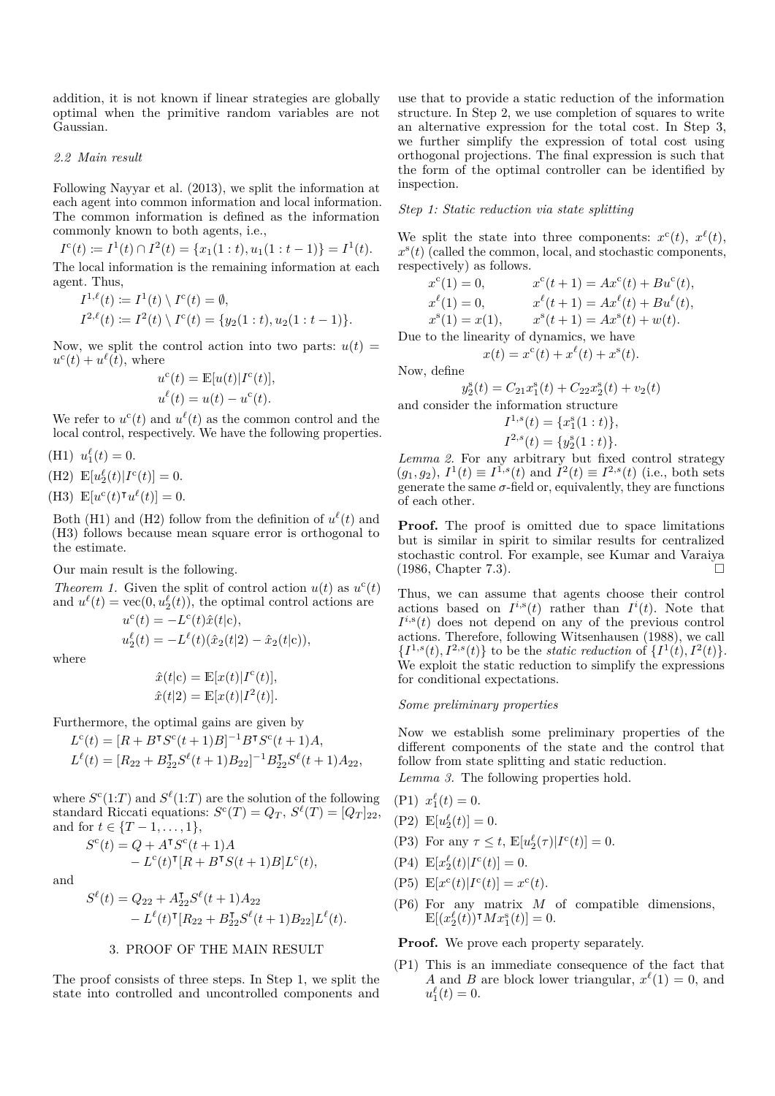addition, it is not known if linear strategies are globally optimal when the primitive random variables are not Gaussian.

#### *2.2 Main result*

Following Nayyar et al. (2013), we split the information at each agent into common information and local information. The common information is defined as the information commonly known to both agents, i.e.,

$$
Ic(t) := I1(t) \cap I2(t) = \{x1(1 : t), u1(1 : t - 1)\} = I1(t).
$$
  
The local information is the remaining information at each agent. Thus,

$$
I^{1,\ell}(t) := I^1(t) \setminus I^c(t) = \emptyset,
$$
  
\n
$$
I^{2,\ell}(t) := I^2(t) \setminus I^c(t) = \{y_2(1:t), u_2(1:t-1)\}.
$$

Now, we split the control action into two parts:  $u(t)$  =  $u^{\rm c}(t) + u^{\ell}(t)$ , where

$$
u^{c}(t) = \mathbb{E}[u(t)|I^{c}(t)],
$$
  

$$
u^{\ell}(t) = u(t) - u^{c}(t).
$$

We refer to  $u^c(t)$  and  $u^{\ell}(t)$  as the common control and the local control, respectively. We have the following properties.

(H1)  $u_1^{\ell}(t) = 0.$ 

(H2)  $\mathbb{E}[u_2^{\ell}(t)|I^c(t)] = 0.$ 

(H3)  $\mathbb{E}[u^{\mathsf{c}}(t)^\intercal u^{\ell}(t)] = 0.$ 

Both (H1) and (H2) follow from the definition of  $u^{\ell}(t)$  and (H3) follows because mean square error is orthogonal to the estimate.

Our main result is the following.

Theorem 1. Given the split of control action 
$$
u(t)
$$
 as  $u^c(t)$  and  $u^{\ell}(t) = \text{vec}(0, u_2^{\ell}(t))$ , the optimal control actions are

$$
u^{c}(t) = -L^{c}(t)\hat{x}(t|c),
$$
  
\n
$$
u_{2}^{e}(t) = -L^{e}(t)(\hat{x}_{2}(t|2) - \hat{x}_{2}(t|c)),
$$

where

$$
\hat{x}(t|c) = \mathbb{E}[x(t)|I^c(t)],
$$
  

$$
\hat{x}(t|2) = \mathbb{E}[x(t)|I^2(t)].
$$

Furthermore, the optimal gains are given by

$$
L^{c}(t) = [R + B^{T}S^{c}(t+1)B]^{-1}B^{T}S^{c}(t+1)A,
$$
  

$$
L^{\ell}(t) = [R_{22} + B_{22}^{T}S^{\ell}(t+1)B_{22}]^{-1}B_{22}^{T}S^{\ell}(t+1)A_{22},
$$

where  $S^c(1:T)$  and  $S^{\ell}(1:T)$  are the solution of the following standard Riccati equations:  $S^{c}(T) = Q_{T}, S^{\ell}(T) = [Q_{T}]_{22}$ , and for  $t \in \{T-1, \ldots, 1\},\$ 

$$
Sc(t) = Q + ATSc(t+1)A
$$
  
- L<sup>c</sup>(t)<sup>T</sup>[R + B<sup>T</sup>S(t+1)B]L<sup>c</sup>(t),

and

$$
S^{\ell}(t) = Q_{22} + A_{22}^{T} S^{\ell}(t+1) A_{22}
$$
  
-  $L^{\ell}(t)^{T} [R_{22} + B_{22}^{T} S^{\ell}(t+1) B_{22}] L^{\ell}(t).$ 

#### 3. PROOF OF THE MAIN RESULT

The proof consists of three steps. In Step 1, we split the state into controlled and uncontrolled components and

use that to provide a static reduction of the information structure. In Step 2, we use completion of squares to write an alternative expression for the total cost. In Step 3, we further simplify the expression of total cost using orthogonal projections. The final expression is such that the form of the optimal controller can be identified by inspection.

## *Step 1: Static reduction via state splitting*

We split the state into three components:  $x^c(t)$ ,  $x^{\ell}(t)$ ,  $x^s(t)$  (called the common, local, and stochastic components, respectively) as follows.

$$
x^{c}(1) = 0,
$$
  
\n
$$
x^{\ell}(1) = 0,
$$
  
\n
$$
x^{\ell}(t+1) = Ax^{c}(t) + Bu^{c}(t),
$$
  
\n
$$
x^{\ell}(1) = x(1),
$$
  
\n
$$
x^{s}(t+1) = Ax^{s}(t) + Bu^{l}(t),
$$
  
\n
$$
x^{s}(t+1) = Ax^{s}(t) + w(t).
$$
  
\nDue to the linearity of dynamics, we have

 $x(t) = x^{c}(t) + x^{\ell}(t) + x^{s}(t).$ 

Now, define

$$
y_2^s(t) = C_{21}x_1^s(t) + C_{22}x_2^s(t) + v_2(t)
$$
  
and consider the information structure  

$$
I^{1,s}(t) = \{x_1^s(1:t)\},
$$

$$
I^{2,s}(t) = \{y_2^s(1:t)\}.
$$

*Lemma 2.* For any arbitrary but fixed control strategy  $(g_1, g_2)$ ,  $I^1(t) \equiv I^{1,s}(t)$  and  $I^2(t) \equiv I^{2,s}(t)$  (i.e., both sets generate the same  $\sigma$ -field or, equivalently, they are functions of each other.

**Proof.** The proof is omitted due to space limitations but is similar in spirit to similar results for centralized stochastic control. For example, see Kumar and Varaiya (1986, Chapter 7.3).

Thus, we can assume that agents choose their control actions based on  $I^{i,s}(t)$  rather than  $I^{i}(t)$ . Note that  $I^{i,s}(t)$  does not depend on any of the previous control actions. Therefore, following Witsenhausen (1988), we call  ${I^{1,s}(t), I^{2,s}(t)}$  to be the *static reduction* of  ${I^1(t), I^2(t)}$ . We exploit the static reduction to simplify the expressions for conditional expectations.

# *Some preliminary properties*

Now we establish some preliminary properties of the different components of the state and the control that follow from state splitting and static reduction.

*Lemma 3.* The following properties hold.

(P1) 
$$
x_1^{\ell}(t) = 0.
$$

- (P2)  $\mathbb{E}[u_2^{\ell}(t)] = 0.$
- (P3) For any  $\tau \leq t$ ,  $\mathbb{E}[u_2^{\ell}(\tau)|I^c(t)] = 0$ .
- $\label{eq:2.1} \mbox{(P4)}\ \ \mathbb{E}[x_2^\ell(t)|I^{\rm c}(t)]=0.$
- (P5)  $\mathbb{E}[x^{\text{c}}(t)|I^{\text{c}}(t)] = x^{\text{c}}(t).$
- (P6) For any matrix *M* of compatible dimensions,  $\mathbb{E}[(x_2^{\ell}(t))$ <sup>T</sup> $Mx_1^{\rm s}(t)]=0.$

**Proof.** We prove each property separately.

(P1) This is an immediate consequence of the fact that *A* and *B* are block lower triangular,  $x^{\ell}(1) = 0$ , and  $u_1^{\ell}(t) = 0.$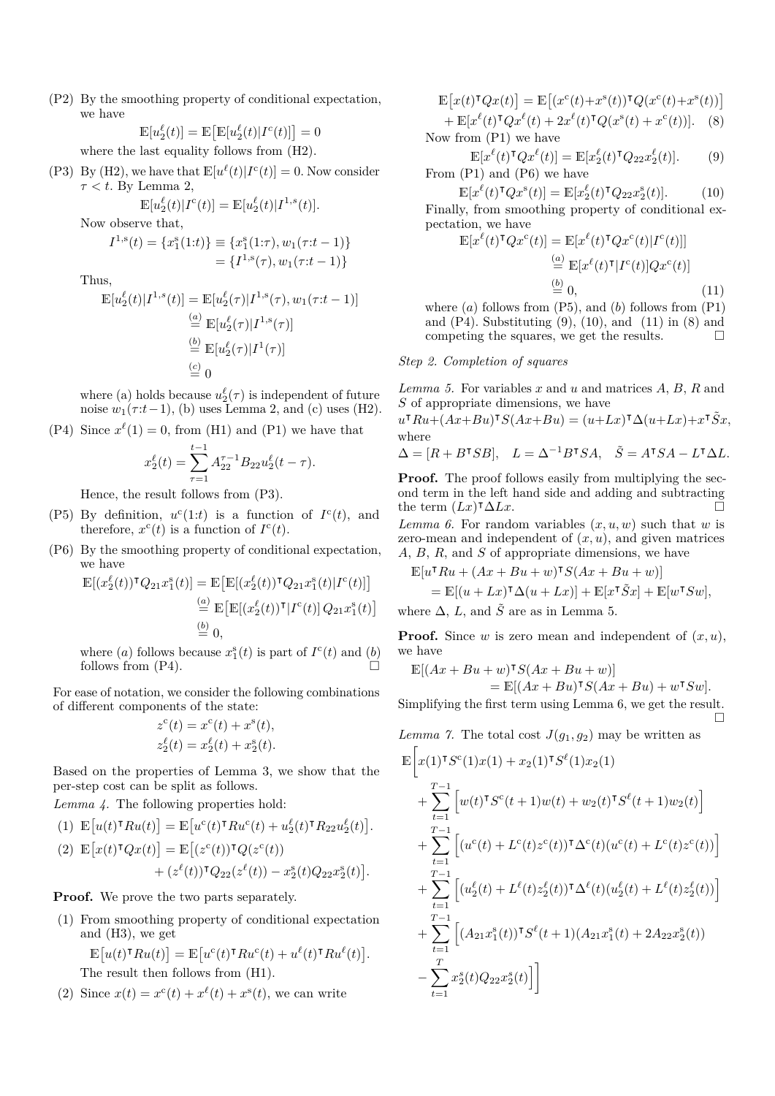(P2) By the smoothing property of conditional expectation, we have

$$
\mathbb{E}[u_2^{\ell}(t)] = \mathbb{E}\big[\mathbb{E}[u_2^{\ell}(t)|I^c(t)]\big] = 0
$$

where the last equality follows from (H2).

(P3) By (H2), we have that  $\mathbb{E}[u^{\ell}(t)|I^{\infty}(t)] = 0$ . Now consider *τ < t*. By Lemma 2,

$$
\mathbb{E}[u_2^{\ell}(t)|I^{\mathbf{c}}(t)] = \mathbb{E}[u_2^{\ell}(t)|I^{1,s}(t)].
$$

Now observe that,

$$
I^{1,s}(t) = \{x_1^s(1:t)\} \equiv \{x_1^s(1:\tau), w_1(\tau:t-1)\}
$$
  
=  $\{I^{1,s}(\tau), w_1(\tau:t-1)\}$ 

Thus,

$$
\mathbb{E}[u_2^{\ell}(t)|I^{1,s}(t)] = \mathbb{E}[u_2^{\ell}(\tau)|I^{1,s}(\tau), w_1(\tau:t-1)]
$$
  
\n
$$
\stackrel{(a)}{=} \mathbb{E}[u_2^{\ell}(\tau)|I^{1,s}(\tau)]
$$
  
\n
$$
\stackrel{(b)}{=} \mathbb{E}[u_2^{\ell}(\tau)|I^{1}(\tau)]
$$
  
\n
$$
\stackrel{(c)}{=} 0
$$

where (a) holds because  $u_2^{\ell}(\tau)$  is independent of future noise  $w_1(\tau:t-1)$ , (b) uses Lemma 2, and (c) uses (H2).

(P4) Since 
$$
x^{\ell}(1) = 0
$$
, from (H1) and (P1) we have that  $t-1$ 

$$
x_2^{\ell}(t) = \sum_{\tau=1}^{t-1} A_{22}^{\tau-1} B_{22} u_2^{\ell}(t-\tau).
$$

Hence, the result follows from (P3).

- (P5) By definition,  $u^c(1:t)$  is a function of  $I^c(t)$ , and therefore,  $x^c(t)$  is a function of  $I^c(t)$ .
- (P6) By the smoothing property of conditional expectation, we have

$$
\mathbb{E}[(x_2^{\ell}(t))^{\intercal} Q_{21}x_1^{\mathbf{s}}(t)] = \mathbb{E}\big[\mathbb{E}[(x_2^{\ell}(t))^{\intercal} Q_{21}x_1^{\mathbf{s}}(t)|I^{\mathbf{c}}(t)]\big] \stackrel{(a)}{=} \mathbb{E}\big[\mathbb{E}[(x_2^{\ell}(t))^{\intercal}|I^{\mathbf{c}}(t)]\,Q_{21}x_1^{\mathbf{s}}(t)\big] \stackrel{(b)}{=} 0,
$$

where (*a*) follows because  $x_1^s(t)$  is part of  $I^c(t)$  and (*b*) follows from  $(P4)$ .

For ease of notation, we consider the following combinations of different components of the state:

$$
z^{c}(t) = x^{c}(t) + x^{s}(t),
$$
  

$$
z_{2}^{\ell}(t) = x_{2}^{\ell}(t) + x_{2}^{s}(t).
$$

Based on the properties of Lemma 3, we show that the per-step cost can be split as follows.

*Lemma 4.* The following properties hold:

(1) 
$$
\mathbb{E}\big[u(t)^{\intercal}Ru(t)\big] = \mathbb{E}\big[u^c(t)^{\intercal}Ru^c(t) + u_2^{\ell}(t)^{\intercal}R_{22}u_2^{\ell}(t)\big].
$$

(2) 
$$
\mathbb{E}[x(t)^{\mathsf{T}}Qx(t)] = \mathbb{E}[(z^{c}(t))^{\mathsf{T}}Q(z^{c}(t)) + (z^{\ell}(t))^{\mathsf{T}}Q_{22}(z^{\ell}(t)) - x_{2}^{s}(t)Q_{22}x_{2}^{s}(t)].
$$

**Proof.** We prove the two parts separately.

(1) From smoothing property of conditional expectation and (H3), we get

$$
\mathbb{E}[u(t)^{\mathsf{T}}Ru(t)] = \mathbb{E}[u^{c}(t)^{\mathsf{T}}Ru^{c}(t) + u^{\ell}(t)^{\mathsf{T}}Ru^{\ell}(t)].
$$
  
The result then follows from (H1).

(2) Since  $x(t) = x^{c}(t) + x^{\ell}(t) + x^{s}(t)$ , we can write

 $\mathbb{E}[x(t)^\intercal Qx(t)] = \mathbb{E}[(x^{\mathsf{c}}(t)+x^{\mathsf{s}}(t))^\intercal Q(x^{\mathsf{c}}(t)+x^{\mathsf{s}}(t))]$  $+ \mathbb{E}[x^{\ell}(t)^{\mathsf{T}}Qx^{\ell}(t) + 2x^{\ell}(t)^{\mathsf{T}}Q(x^{\mathsf{s}}(t) + x^{\mathsf{c}}(t))].$  (8)

Now from (P1) we have

$$
\mathbb{E}[x^{\ell}(t)^{\mathsf{T}}Qx^{\ell}(t)] = \mathbb{E}[x_2^{\ell}(t)^{\mathsf{T}}Q_{22}x_2^{\ell}(t)]. \tag{9}
$$
  
From (P1) and (P6) we have

$$
\mathbb{E}[x^{\ell}(t)^{\mathsf{T}}Qx^{\mathsf{s}}(t)] = \mathbb{E}[x_2^{\ell}(t)^{\mathsf{T}}Q_{22}x_2^{\mathsf{s}}(t)].\tag{10}
$$

Finally, from smoothing property of conditional expectation, we have

$$
\mathbb{E}[x^{\ell}(t)^{\mathsf{T}}Qx^{\mathsf{c}}(t)] = \mathbb{E}[x^{\ell}(t)^{\mathsf{T}}Qx^{\mathsf{c}}(t)|I^{\mathsf{c}}(t)]]
$$
\n
$$
\stackrel{(a)}{=} \mathbb{E}[x^{\ell}(t)^{\mathsf{T}}|I^{\mathsf{c}}(t)]Qx^{\mathsf{c}}(t)]
$$
\n
$$
\stackrel{(b)}{=} 0,
$$
\n(11)

where  $(a)$  follows from  $(P5)$ , and  $(b)$  follows from  $(P1)$ and  $(P4)$ . Substituting  $(9)$ ,  $(10)$ , and  $(11)$  in  $(8)$  and competing the squares, we get the results.  $\Box$ 

#### *Step 2. Completion of squares*

*Lemma 5.* For variables *x* and *u* and matrices *A*, *B*, *R* and *S* of appropriate dimensions, we have

$$
u^{\mathsf{T}}Ru + (Ax + Bu)^{\mathsf{T}}S(Ax + Bu) = (u + Lx)^{\mathsf{T}}\Delta(u + Lx) + x^{\mathsf{T}}\tilde{S}x,
$$
  
where

$$
\Delta = [R + B^{\mathsf{T}} S B], \quad L = \Delta^{-1} B^{\mathsf{T}} S A, \quad \tilde{S} = A^{\mathsf{T}} S A - L^{\mathsf{T}} \Delta L.
$$

**Proof.** The proof follows easily from multiplying the second term in the left hand side and adding and subtracting the term  $(Lx)^\intercal \Delta Lx$ .

*Lemma 6.* For random variables  $(x, u, w)$  such that *w* is zero-mean and independent of  $(x, u)$ , and given matrices *A*, *B*, *R*, and *S* of appropriate dimensions, we have

$$
\mathbb{E}[u^{\mathsf{T}} Ru + (Ax + Bu + w)^{\mathsf{T}} S(Ax + Bu + w)]
$$

$$
= \mathbb{E}[(u + Lx)^{\mathsf{T}}\Delta(u + Lx)] + \mathbb{E}[x^{\mathsf{T}}\tilde{S}x] + \mathbb{E}[w^{\mathsf{T}}Sw],
$$
  
where  $\Delta$ , L, and  $\tilde{S}$  are as in Lemma 5.

**Proof.** Since *w* is zero mean and independent of (*x, u*), we have

$$
\mathbb{E}[(Ax + Bu + w)^{\intercal}S(Ax + Bu + w)]
$$

$$
= \mathbb{E}[(Ax + Bu)^{\mathsf{T}}S(Ax + Bu) + w^{\mathsf{T}}Sw].
$$

Simplifying the first term using Lemma 6, we get the result.  $\Box$ 

*Lemma 7.* The total cost  $J(g_1, g_2)$  may be written as

$$
\mathbb{E}\Big[x(1)^{\intercal}S^{c}(1)x(1) + x_{2}(1)^{\intercal}S^{\ell}(1)x_{2}(1) + \sum_{t=1}^{T-1} \Big[w(t)^{\intercal}S^{c}(t+1)w(t) + w_{2}(t)^{\intercal}S^{\ell}(t+1)w_{2}(t)\Big] + \sum_{t=1}^{T-1} \Big[(u^{c}(t) + L^{c}(t)z^{c}(t))^{\intercal}\Delta^{c}(t)(u^{c}(t) + L^{c}(t)z^{c}(t))\Big] + \sum_{t=1}^{T-1} \Big[(u_{2}^{\ell}(t) + L^{\ell}(t)z_{2}^{\ell}(t))^{\intercal}\Delta^{\ell}(t)(u_{2}^{\ell}(t) + L^{\ell}(t)z_{2}^{\ell}(t))\Big] + \sum_{t=1}^{T-1} \Big[(A_{21}x_{1}^{s}(t))^{\intercal}S^{\ell}(t+1)(A_{21}x_{1}^{s}(t) + 2A_{22}x_{2}^{s}(t)) - \sum_{t=1}^{T}x_{2}^{s}(t)Q_{22}x_{2}^{s}(t)\Big]\Big]
$$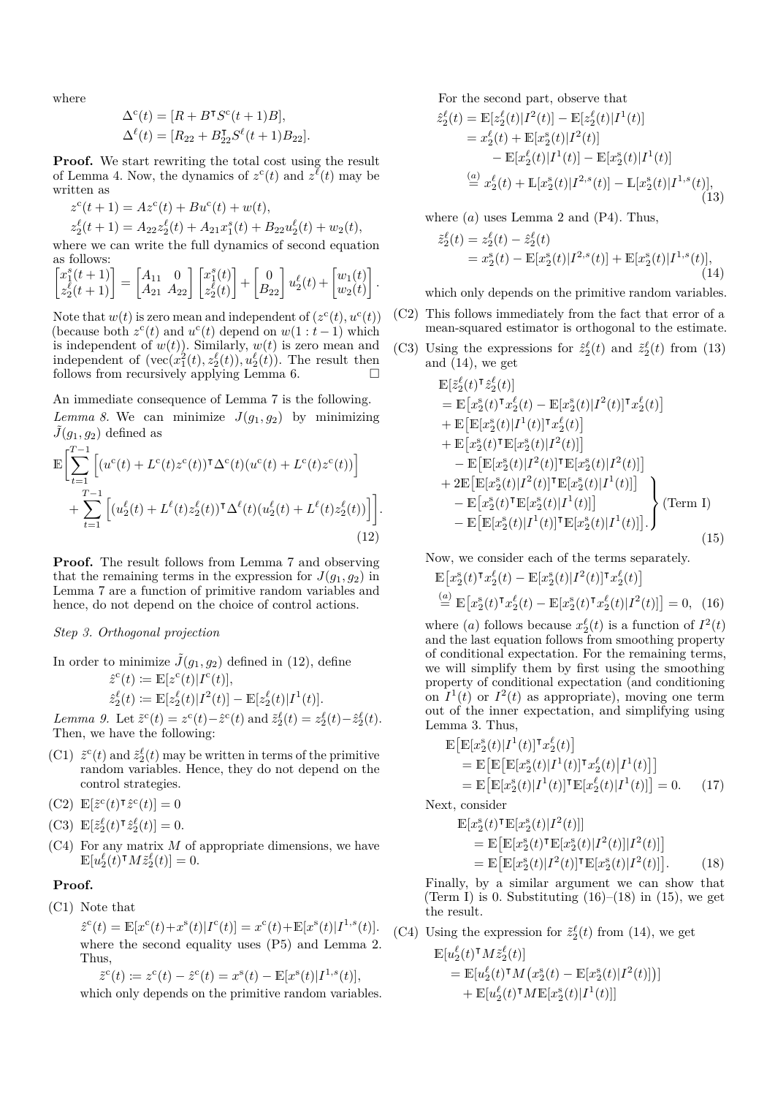where

$$
\begin{aligned} \Delta^{\rm c}(t) & = [R+B^\intercal S^{\rm c}(t+1)B],\\ \Delta^\ell(t) & = [R_{22}+B_{22}^\intercal S^\ell(t+1)B_{22}]. \end{aligned}
$$

**Proof.** We start rewriting the total cost using the result of Lemma 4. Now, the dynamics of  $z^c(t)$  and  $z^{\ell}(t)$  may be written as

 $z^{c}(t+1) = Az^{c}(t) + Bu^{c}(t) + w(t),$ 

$$
z_2^{\ell}(t+1) = A_{22}z_2^{\ell}(t) + A_{21}x_1^s(t) + B_{22}u_2^{\ell}(t) + w_2(t),
$$

where we can write the full dynamics of second equation as follows:

$$
\begin{bmatrix} x_1^s(t+1) \\ z_2^{\ell}(t+1) \end{bmatrix} = \begin{bmatrix} A_{11} & 0 \\ A_{21} & A_{22} \end{bmatrix} \begin{bmatrix} x_1^s(t) \\ z_2^{\ell}(t) \end{bmatrix} + \begin{bmatrix} 0 \\ B_{22} \end{bmatrix} u_2^{\ell}(t) + \begin{bmatrix} w_1(t) \\ w_2(t) \end{bmatrix}.
$$

Note that  $w(t)$  is zero mean and independent of  $(z^c(t), u^c(t))$ (because both  $z^c(t)$  and  $u^c(t)$  depend on  $w(1 : t-1)$  which is independent of  $w(t)$ ). Similarly,  $w(t)$  is zero mean and independent of  $(\text{vec}(x_1^2(t), z_2^{\ell}(t)), u_2^{\ell}(t))$ . The result then follows from recursively applying Lemma 6.  $\Box$ 

An immediate consequence of Lemma 7 is the following. *Lemma 8.* We can minimize  $J(g_1, g_2)$  by minimizing  $\tilde{J}(g_1, g_2)$  defined as

$$
\mathbb{E}\Bigg[\sum_{t=1}^{T-1} \Big[(u^{c}(t) + L^{c}(t)z^{c}(t))\Big] \Delta^{c}(t)(u^{c}(t) + L^{c}(t)z^{c}(t))\Big] \n+ \sum_{t=1}^{T-1} \Big[(u_{2}^{\ell}(t) + L^{\ell}(t)z_{2}^{\ell}(t))\Big] \Delta^{\ell}(t)(u_{2}^{\ell}(t) + L^{\ell}(t)z_{2}^{\ell}(t))\Big]\Bigg].
$$
\n(12)

**Proof.** The result follows from Lemma 7 and observing that the remaining terms in the expression for  $J(q_1, q_2)$  in Lemma 7 are a function of primitive random variables and hence, do not depend on the choice of control actions.

# *Step 3. Orthogonal projection*

In order to minimize  $\tilde{J}(g_1, g_2)$  defined in (12), define

 $\hat{z}^{\text{c}}(t) \coloneqq \mathbb{E}[z^{\text{c}}(t)|I^{\text{c}}(t)],$  $\hat{z}_2^{\ell}(t) \coloneqq \mathbb{E}[z_2^{\ell}(t)|I^2(t)] - \mathbb{E}[z_2^{\ell}(t)|I^1(t)].$ 

*Lemma 9.* Let  $\tilde{z}^c(t) = z^c(t) - \hat{z}^c(t)$  and  $\tilde{z}^{\ell}_2(t) = z^{\ell}_2(t) - \hat{z}^{\ell}_2(t)$ . Then, we have the following:

(C1)  $\tilde{z}^c(t)$  and  $\tilde{z}^{\ell}_2(t)$  may be written in terms of the primitive random variables. Hence, they do not depend on the control strategies.

 $\mathbb{E}[\tilde{z}^{\mathsf{c}}(t)^{\intercal}\hat{z}^{\mathsf{c}}(t)] = 0$ 

- $\mathbb{E}[\tilde{z}_2^{\ell}(t)^{\intercal}\hat{z}_2^{\ell}(t)] = 0.$
- (C4) For any matrix *M* of appropriate dimensions, we have  $\mathbb{E}[u_2^{\ell}(t)^{\intercal}M\tilde{z}_2^{\ell}(t)]=0.$

## **Proof.**

(C1) Note that

 $\hat{z}^c(t) = \mathbb{E}[x^c(t) + x^s(t)|I^c(t)] = x^c(t) + \mathbb{E}[x^s(t)|I^{1,s}(t)].$ where the second equality uses (P5) and Lemma 2. Thus,

$$
\tilde{z}^{\mathbf{c}}(t) := z^{\mathbf{c}}(t) - \hat{z}^{\mathbf{c}}(t) = x^{\mathbf{s}}(t) - \mathbb{E}[x^{\mathbf{s}}(t)|I^{1,s}(t)],
$$
 which only depends on the primitive random variables.

For the second part, observe that

$$
\hat{z}_2^{\ell}(t) = \mathbb{E}[z_2^{\ell}(t)|I^2(t)] - \mathbb{E}[z_2^{\ell}(t)|I^1(t)]
$$
  
\n
$$
= x_2^{\ell}(t) + \mathbb{E}[x_2^{\rm s}(t)|I^2(t)] - \mathbb{E}[x_2^{\rm s}(t)|I^1(t)] - \mathbb{E}[x_2^{\rm s}(t)|I^1(t)]
$$
  
\n
$$
\stackrel{(a)}{=} x_2^{\ell}(t) + \mathbb{E}[x_2^{\rm s}(t)|I^{2,s}(t)] - \mathbb{E}[x_2^{\rm s}(t)|I^{1,s}(t)],
$$
\n(13)

where  $(a)$  uses Lemma 2 and  $(P4)$ . Thus,

$$
\begin{aligned} \tilde{z}_2^{\ell}(t) &= z_2^{\ell}(t) - \hat{z}_2^{\ell}(t) \\ &= x_2^{\mathrm{s}}(t) - \mathbb{E}[x_2^{\mathrm{s}}(t)|I^{2,s}(t)] + \mathbb{E}[x_2^{\mathrm{s}}(t)|I^{1,s}(t)], \end{aligned} \tag{14}
$$

which only depends on the primitive random variables.

- (C2) This follows immediately from the fact that error of a mean-squared estimator is orthogonal to the estimate.
- (C3) Using the expressions for  $\hat{z}_2^{\ell}(t)$  and  $\tilde{z}_2^{\ell}(t)$  from (13) and (14), we get

$$
\mathbb{E}[z_2^{\ell}(t)^{\intercal}\hat{z}_2^{\ell}(t)]
$$
\n
$$
= \mathbb{E}[x_2^{\epsilon}(t)^{\intercal}x_2^{\ell}(t) - \mathbb{E}[x_2^{\epsilon}(t)|I^2(t)]^{\intercal}x_2^{\ell}(t)]
$$
\n
$$
+ \mathbb{E}[\mathbb{E}[x_2^{\epsilon}(t)|I^1(t)]^{\intercal}x_2^{\ell}(t)]
$$
\n
$$
+ \mathbb{E}[x_2^{\epsilon}(t)^{\intercal}\mathbb{E}[x_2^{\epsilon}(t)|I^2(t)]]
$$
\n
$$
- \mathbb{E}[\mathbb{E}[x_2^{\epsilon}(t)|I^2(t)]^{\intercal}\mathbb{E}[x_2^{\epsilon}(t)|I^2(t)]]
$$
\n
$$
+ 2\mathbb{E}[\mathbb{E}[x_2^{\epsilon}(t)|I^2(t)]^{\intercal}\mathbb{E}[x_2^{\epsilon}(t)|I^1(t)]]
$$
\n
$$
- \mathbb{E}[x_2^{\epsilon}(t)^{\intercal}\mathbb{E}[x_2^{\epsilon}(t)|I^1(t)]]
$$
\n
$$
- \mathbb{E}[\mathbb{E}[x_2^{\epsilon}(t)|I^1(t)]^{\intercal}\mathbb{E}[x_2^{\epsilon}(t)|I^1(t)]]
$$
\n
$$
(15)
$$

Now, we consider each of the terms separately.

$$
\mathbb{E}\big[x_2^s(t)^\intercal x_2^\ell(t) - \mathbb{E}[x_2^s(t)|I^2(t)]^\intercal x_2^\ell(t)\big] \n\stackrel{(a)}{=} \mathbb{E}\big[x_2^s(t)^\intercal x_2^\ell(t) - \mathbb{E}[x_2^s(t)^\intercal x_2^\ell(t)|I^2(t)]\big] = 0, \tag{16}
$$

where (*a*) follows because  $x_2^{\ell}(t)$  is a function of  $I^2(t)$ and the last equation follows from smoothing property of conditional expectation. For the remaining terms, we will simplify them by first using the smoothing property of conditional expectation (and conditioning on  $I^1(t)$  or  $I^2(t)$  as appropriate), moving one term out of the inner expectation, and simplifying using Lemma 3. Thus,

$$
\mathbb{E}\big[\mathbb{E}[x_2^s(t)|I^1(t)]^\intercal x_2^\ell(t)\big] \n= \mathbb{E}\big[\mathbb{E}\big[\mathbb{E}[x_2^s(t)|I^1(t)]^\intercal x_2^\ell(t)|I^1(t)\big]\big] \n= \mathbb{E}\big[\mathbb{E}[x_2^s(t)|I^1(t)]^\intercal \mathbb{E}[x_2^\ell(t)|I^1(t)]\big] = 0.
$$
\n(17)

Next, consider

$$
\mathbb{E}[x_2^s(t)^{\mathsf{T}}\mathbb{E}[x_2^s(t)|I^2(t)]]
$$
\n
$$
= \mathbb{E}\big[\mathbb{E}[x_2^s(t)^{\mathsf{T}}\mathbb{E}[x_2^s(t)|I^2(t)]|I^2(t)]\big]
$$
\n
$$
= \mathbb{E}\big[\mathbb{E}[x_2^s(t)|I^2(t)]^{\mathsf{T}}\mathbb{E}[x_2^s(t)|I^2(t)]\big].
$$
\n(18)

Finally, by a similar argument we can show that (Term I) is 0. Substituting  $(16)$ – $(18)$  in  $(15)$ , we get the result.

(C4) Using the expression for  $\tilde{z}_2^{\ell}(t)$  from (14), we get

$$
\mathbb{E}[u_2^{\ell}(t)^{\mathsf{T}} M \tilde{z}_2^{\ell}(t)] \n= \mathbb{E}[u_2^{\ell}(t)^{\mathsf{T}} M (x_2^{\mathsf{s}}(t) - \mathbb{E}[x_2^{\mathsf{s}}(t)|I^2(t)])] \n+ \mathbb{E}[u_2^{\ell}(t)^{\mathsf{T}} M \mathbb{E}[x_2^{\mathsf{s}}(t)|I^1(t)]]
$$